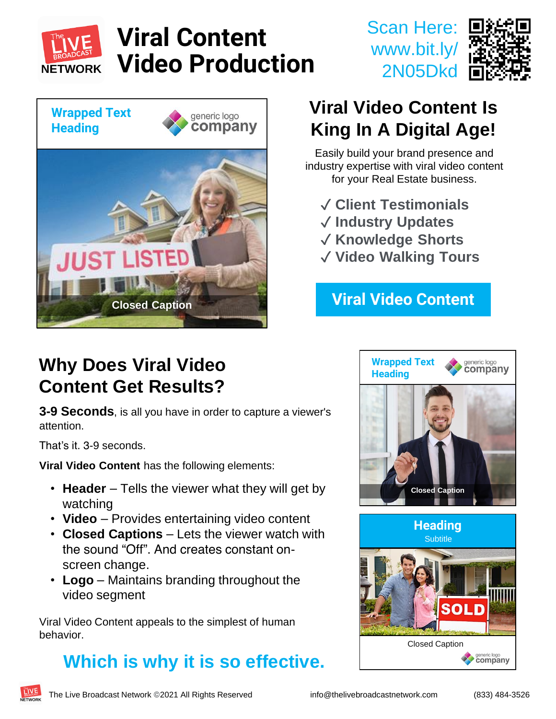

# **Viral Content Video Production**



### **Viral Video Content Is King In A Digital Age!**

Scan Here:

www.bit.ly/

2N05Dkd

Easily build your brand presence and industry expertise with viral video content for your Real Estate business.

- ✓ **Client Testimonials**
- ✓ **Industry Updates**
- ✓ **Knowledge Shorts**
- ✓ **Video Walking Tours**

#### **Viral Video Content**

#### **Why Does Viral Video Content Get Results?**

**3-9 Seconds**, is all you have in order to capture a viewer's attention.

That's it. 3-9 seconds.

**Viral Video Content** has the following elements:

- **Header** Tells the viewer what they will get by watching
- **Video** Provides entertaining video content
- **Closed Captions** Lets the viewer watch with the sound "Off". And creates constant onscreen change.
- **Logo**  Maintains branding throughout the video segment

Viral Video Content appeals to the simplest of human behavior.

#### **Which is why it is so effective.**